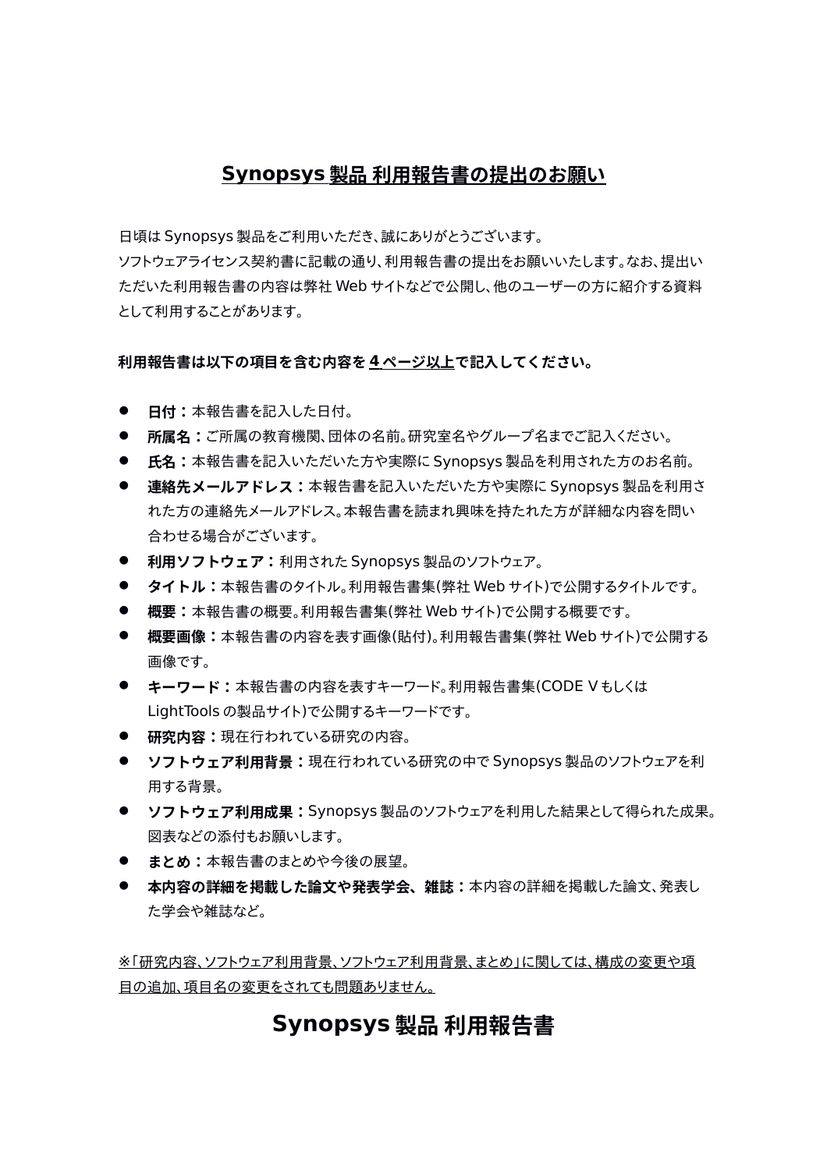# **Synopsys 製品 利用報告書の提出のお願い**

日頃は Synopsys 製品をご利用いただき、誠にありがとうございます。

ソフトウェアライセンス契約書に記載の通り、利用報告書の提出をお願いいたします。なお、提出い ただいた利用報告書の内容は弊社 Web サイトなどで公開し、他のユーザーの方に紹介する資料 として利用することがあります。

### **利用報告書は以下の項目を含む内容を 4 ページ以上で記入してください。**

- **日付:本報告書を記入した日付。**
- **所属名:**ご所属の教育機関、団体の名前。研究室名やグループ名までご記入ください。
- **氏名:**本報告書を記入いただいた方や実際に Synopsys 製品を利用された方のお名前。
- **連絡先メールアドレス:**本報告書を記入いただいた方や実際に Synopsys 製品を利用さ れた方の連絡先メールアドレス。本報告書を読まれ興味を持たれた方が詳細な内容を問い 合わせる場合がございます。
- **利用ソフトウェア:**利用された Synopsys 製品のソフトウェア。
- **タイトル:**本報告書のタイトル。利用報告書集(弊社 Web サイト)で公開するタイトルです。
- **概要:**本報告書の概要。利用報告書集(弊社 Web サイト)で公開する概要です。
- **概要画像:**本報告書の内容を表す画像(貼付)。利用報告書集(弊社 Web サイト)で公開する 画像です。
- **キーワード:**本報告書の内容を表すキーワード。利用報告書集(CODE V もしくは LightTools の製品サイト)で公開するキーワードです。
- **研究内容:**現在行われている研究の内容。
- **ソフトウェア利用背景:**現在行われている研究の中で Synopsys 製品のソフトウェアを利 用する背景。
- **ソフトウェア利用成果: Synopsys 製品のソフトウェアを利用した結果として得られた成果。** 図表などの添付もお願いします。
- **まとめ:本報告書のまとめや今後の展望。**
- **本内容の詳細を掲載した論文や発表学会、雑誌:**本内容の詳細を掲載した論文、発表し た学会や雑誌など。

 ※「研究内容、ソフトウェア利用背景、ソフトウェア利用背景、まとめ」に関しては、構成の変更や項 目の追加、項目名の変更をされても問題ありません。

# **Synopsys 製品 利用報告書**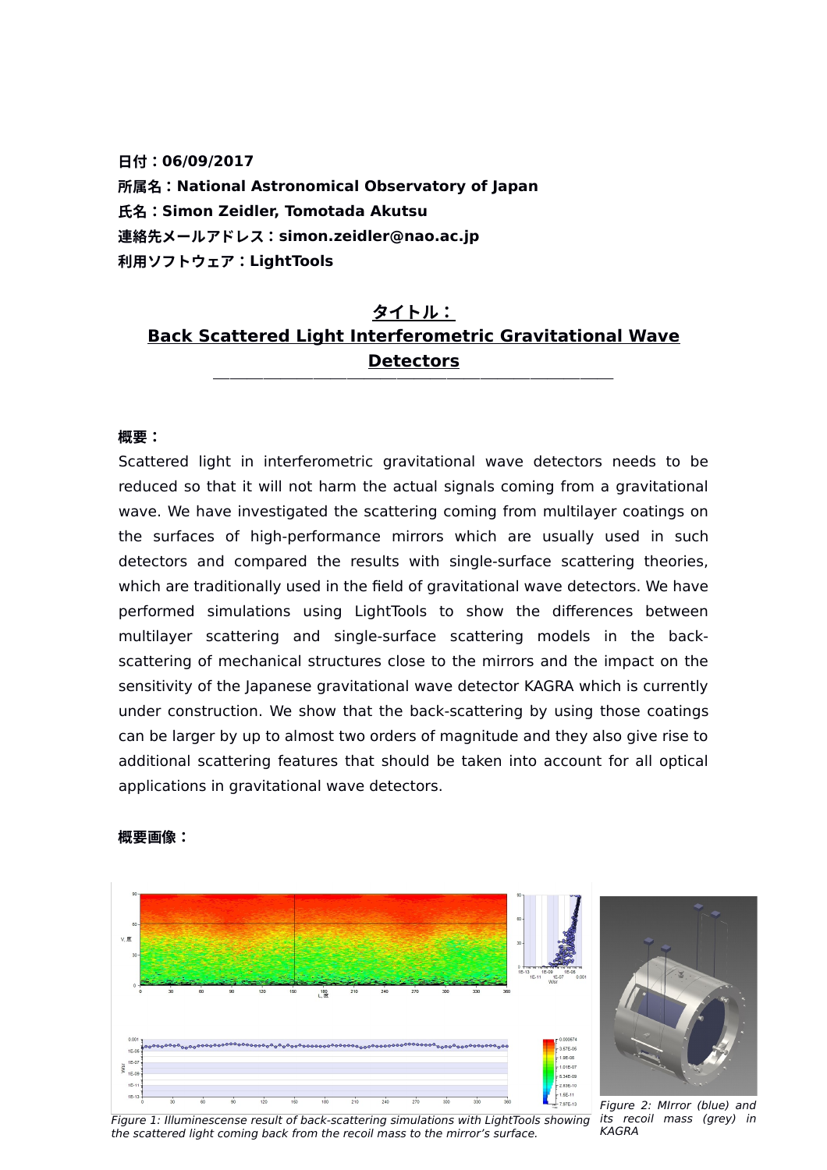**日付:06/09/2017 所属名:National Astronomical Observatory of Japan 氏名:Simon Zeidler, Tomotada Akutsu 連絡先メールアドレス:simon.zeidler@nao.ac.jp 利用ソフトウェア:LightTools**

# **タイトル: Back Scattered Light Interferometric Gravitational Wave Detectors**

#### **概要:**

Scattered light in interferometric gravitational wave detectors needs to be reduced so that it will not harm the actual signals coming from a gravitational wave. We have investigated the scattering coming from multilayer coatings on the surfaces of high-performance mirrors which are usually used in such detectors and compared the results with single-surface scattering theories, which are traditionally used in the field of gravitational wave detectors. We have performed simulations using LightTools to show the differences between multilayer scattering and single-surface scattering models in the backscattering of mechanical structures close to the mirrors and the impact on the sensitivity of the Japanese gravitational wave detector KAGRA which is currently under construction. We show that the back-scattering by using those coatings can be larger by up to almost two orders of magnitude and they also give rise to additional scattering features that should be taken into account for all optical applications in gravitational wave detectors.



#### **概要画像:**

Figure 2: MIrror (blue) and its recoil mass (grey) in KAGRA

Figure 1: Illuminescense result of back-scattering simulations with LightTools showing the scattered light coming back from the recoil mass to the mirror's surface.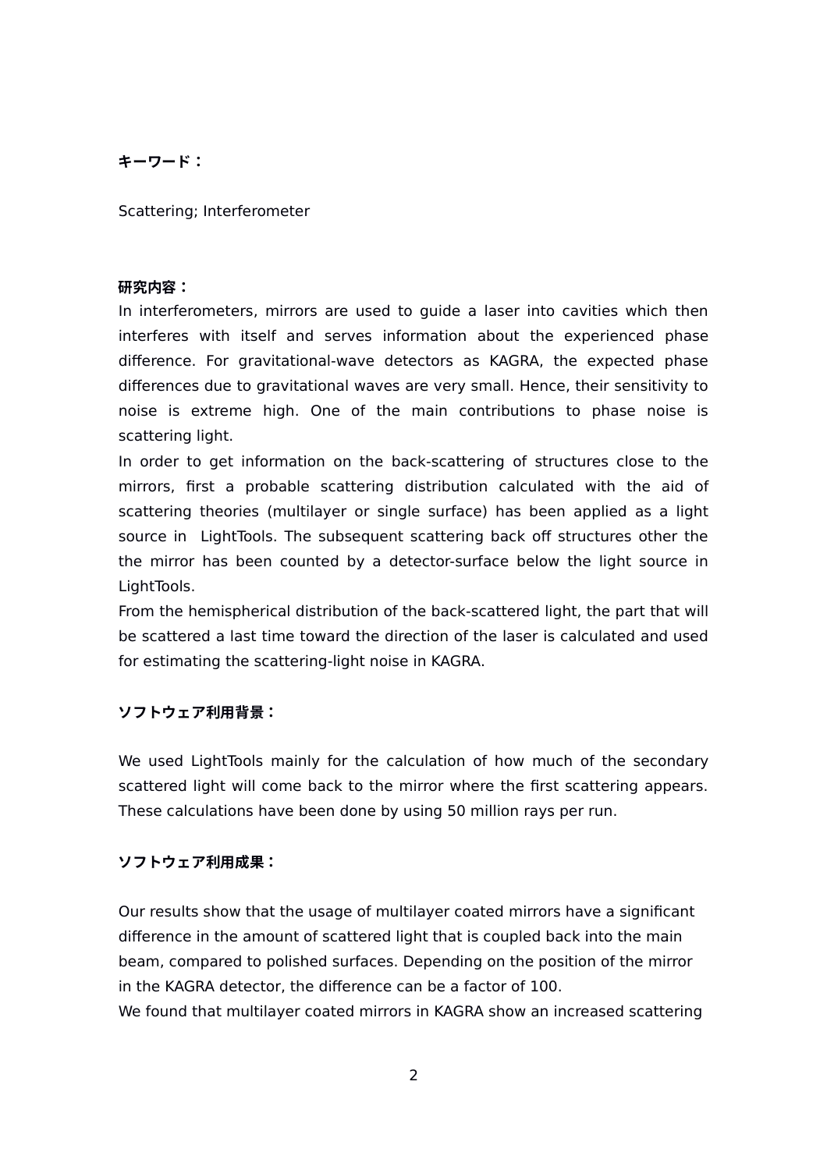## **キーワード:**

Scattering; Interferometer

#### **研究内容:**

In interferometers, mirrors are used to guide a laser into cavities which then interferes with itself and serves information about the experienced phase difference. For gravitational-wave detectors as KAGRA, the expected phase differences due to gravitational waves are very small. Hence, their sensitivity to noise is extreme high. One of the main contributions to phase noise is scattering light.

In order to get information on the back-scattering of structures close to the mirrors, first a probable scattering distribution calculated with the aid of scattering theories (multilayer or single surface) has been applied as a light source in LightTools. The subsequent scattering back off structures other the the mirror has been counted by a detector-surface below the light source in LightTools.

From the hemispherical distribution of the back-scattered light, the part that will be scattered a last time toward the direction of the laser is calculated and used for estimating the scattering-light noise in KAGRA.

### **ソフトウェア利用背景:**

We used LightTools mainly for the calculation of how much of the secondary scattered light will come back to the mirror where the first scattering appears. These calculations have been done by using 50 million rays per run.

### **ソフトウェア利用成果:**

Our results show that the usage of multilayer coated mirrors have a significant difference in the amount of scattered light that is coupled back into the main beam, compared to polished surfaces. Depending on the position of the mirror in the KAGRA detector, the difference can be a factor of 100. We found that multilayer coated mirrors in KAGRA show an increased scattering